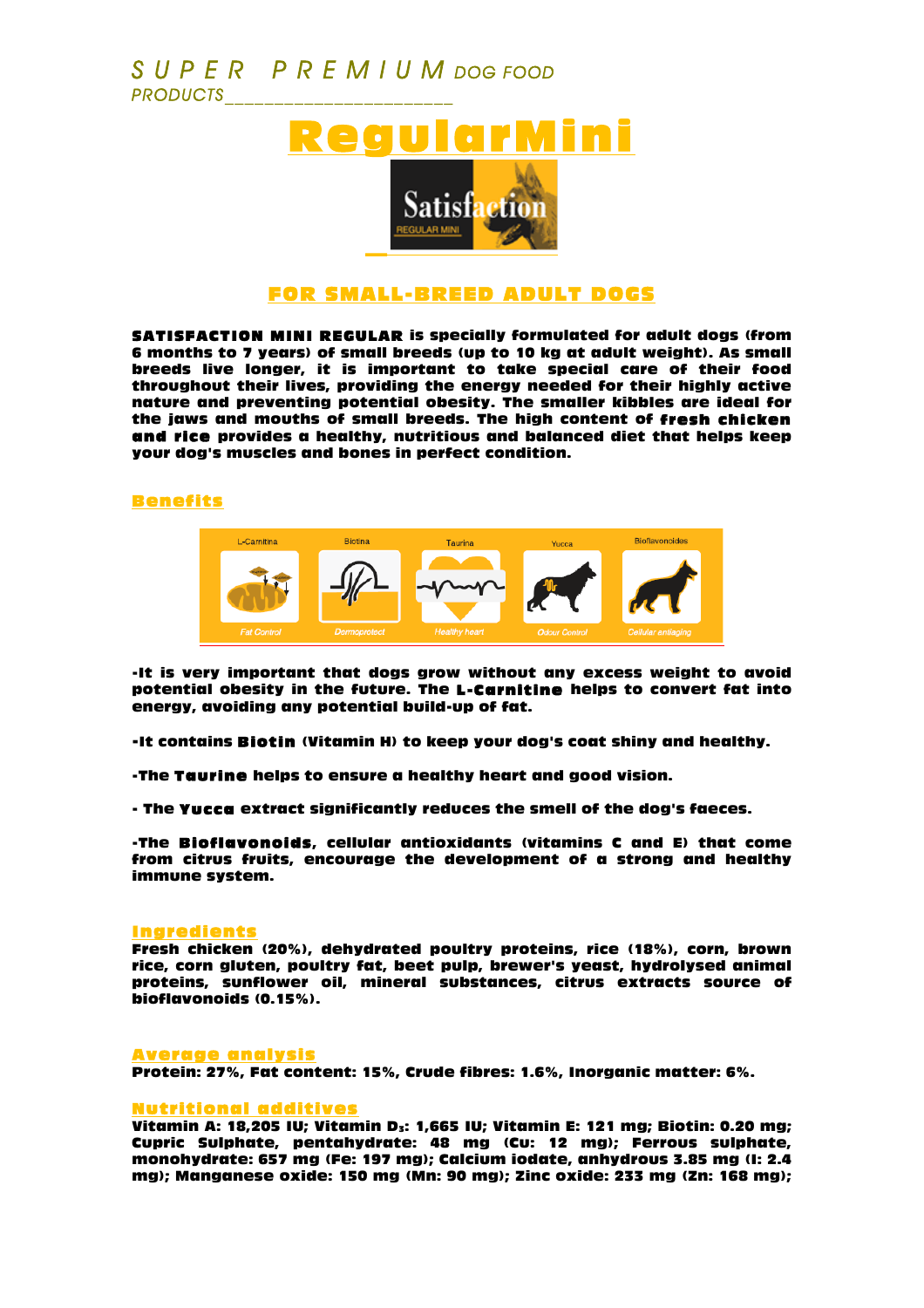## *S U P E R P R E M I U M DOG FOOD PRODUCTS\_\_\_\_\_\_\_\_\_\_\_\_\_\_\_\_\_\_\_\_\_\_\_*



### FOR SMALL-BREED ADULT DOGS

SATISFACTION MINI REGULAR is specially formulated for adult dogs (from 6 months to 7 years) of small breeds (up to 10 kg at adult weight). As small breeds live longer, it is important to take special care of their food throughout their lives, providing the energy needed for their highly active nature and preventing potential obesity. The smaller kibbles are ideal for the jaws and mouths of small breeds. The high content of fresh chicken and rice provides a healthy, nutritious and balanced diet that helps keep your dog's muscles and bones in perfect condition.

#### Benefits



-It is very important that dogs grow without any excess weight to avoid potential obesity in the future. The L-Carnitine helps to convert fat into energy, avoiding any potential build-up of fat.

-It contains Biotin (Vitamin H) to keep your dog's coat shiny and healthy.

-The Taurine helps to ensure a healthy heart and good vision.

- The Yucca extract significantly reduces the smell of the dog's faeces.

-The Bioflavonoids, cellular antioxidants (vitamins C and E) that come from citrus fruits, encourage the development of a strong and healthy immune system.

#### Ingredients

Fresh chicken (20%), dehydrated poultry proteins, rice (18%), corn, brown rice, corn gluten, poultry fat, beet pulp, brewer's yeast, hydrolysed animal proteins, sunflower oil, mineral substances, citrus extracts source of bioflavonoids (0.15%).

#### Average analysis

Protein: 27%, Fat content: 15%, Crude fibres: 1.6%, Inorganic matter: 6%.

#### Nutritional additives

Vitamin A: 18,205 IU; Vitamin D<sub>3</sub>: 1,665 IU; Vitamin E: 121 mg; Biotin: 0.20 mg; Cupric Sulphate, pentahydrate: 48 mg (Cu: 12 mg); Ferrous sulphate, monohydrate: 657 mg (Fe: 197 mg); Calcium iodate, anhydrous 3.85 mg (I: 2.4 mg); Manganese oxide: 150 mg (Mn: 90 mg); Zinc oxide: 233 mg (Zn: 168 mg);